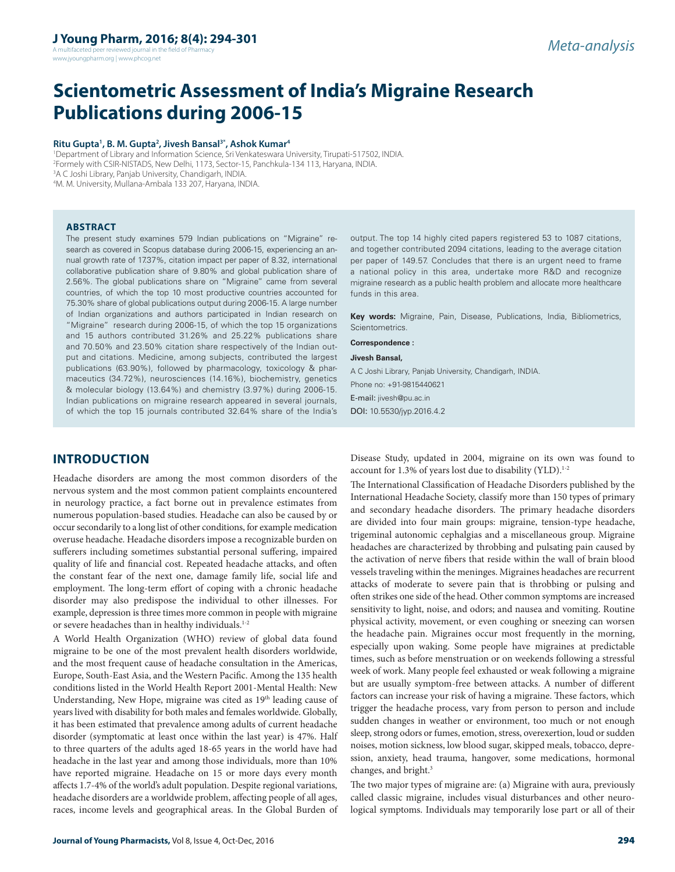A multifaceted peer reviewed journal in the field of Pharm www.jyoungpharm.org | www.phcog.net

# **Scientometric Assessment of India's Migraine Research Publications during 2006-15**

### **Ritu Gupta1 , B. M. Gupta2 , Jivesh Bansal3\*, Ashok Kumar4**

 Department of Library and Information Science, Sri Venkateswara University, Tirupati-517502, INDIA. Formely with CSIR-NISTADS, New Delhi, 1173, Sector-15, Panchkula-134 113, Haryana, INDIA. A C Joshi Library, Panjab University, Chandigarh, INDIA. M. M. University, Mullana-Ambala 133 207, Haryana, INDIA.

#### **ABSTRACT**

The present study examines 579 Indian publications on "Migraine" research as covered in Scopus database during 2006-15, experiencing an annual growth rate of 17.37%, citation impact per paper of 8.32, international collaborative publication share of 9.80% and global publication share of 2.56%. The global publications share on "Migraine" came from several countries, of which the top 10 most productive countries accounted for 75.30% share of global publications output during 2006-15. A large number of Indian organizations and authors participated in Indian research on "Migraine" research during 2006-15, of which the top 15 organizations and 15 authors contributed 31.26% and 25.22% publications share and 70.50% and 23.50% citation share respectively of the Indian output and citations. Medicine, among subjects, contributed the largest publications (63.90%), followed by pharmacology, toxicology & pharmaceutics (34.72%), neurosciences (14.16%), biochemistry, genetics & molecular biology (13.64%) and chemistry (3.97%) during 2006-15. Indian publications on migraine research appeared in several journals, of which the top 15 journals contributed 32.64% share of the India's

**INTRODUCTION**

Headache disorders are among the most common disorders of the nervous system and the most common patient complaints encountered in neurology practice, a fact borne out in prevalence estimates from numerous population-based studies. Headache can also be caused by or occur secondarily to a long list of other conditions, for example medication overuse headache. Headache disorders impose a recognizable burden on sufferers including sometimes substantial personal suffering, impaired quality of life and financial cost. Repeated headache attacks, and often the constant fear of the next one, damage family life, social life and employment. The long-term effort of coping with a chronic headache disorder may also predispose the individual to other illnesses. For example, depression is three times more common in people with migraine or severe headaches than in healthy individuals.<sup>1-2</sup>

A World Health Organization (WHO) review of global data found migraine to be one of the most prevalent health disorders worldwide, and the most frequent cause of headache consultation in the Americas, Europe, South-East Asia, and the Western Pacific. Among the 135 health conditions listed in the World Health Report 2001-Mental Health: New Understanding, New Hope, migraine was cited as 19<sup>th</sup> leading cause of years lived with disability for both males and females worldwide. Globally, it has been estimated that prevalence among adults of current headache disorder (symptomatic at least once within the last year) is 47%. Half to three quarters of the adults aged 18-65 years in the world have had headache in the last year and among those individuals, more than 10% have reported migraine. Headache on 15 or more days every month affects 1.7-4% of the world's adult population. Despite regional variations, headache disorders are a worldwide problem, affecting people of all ages, races, income levels and geographical areas. In the Global Burden of

output. The top 14 highly cited papers registered 53 to 1087 citations, and together contributed 2094 citations, leading to the average citation per paper of 149.57. Concludes that there is an urgent need to frame a national policy in this area, undertake more R&D and recognize migraine research as a public health problem and allocate more healthcare funds in this area.

**Key words:** Migraine, Pain, Disease, Publications, India, Bibliometrics, Scientometrics.

**Correspondence :**

**Jivesh Bansal,** A C Joshi Library, Panjab University, Chandigarh, INDIA. Phone no: +91-9815440621

E-mail: jivesh@pu.ac.in

DOI: 10.5530/jyp.2016.4.2

Disease Study, updated in 2004, migraine on its own was found to account for 1.3% of years lost due to disability (YLD).<sup>1-2</sup>

The International Classification of Headache Disorders published by the International Headache Society, classify more than 150 types of primary and secondary headache disorders. The primary headache disorders are divided into four main groups: migraine, tension-type headache, trigeminal autonomic cephalgias and a miscellaneous group. Migraine headaches are characterized by throbbing and pulsating pain caused by the activation of nerve fibers that reside within the wall of brain blood vessels traveling within the meninges. Migraines headaches are recurrent attacks of moderate to severe pain that is throbbing or pulsing and often strikes one side of the head. Other common symptoms are increased sensitivity to light, noise, and odors; and nausea and vomiting. Routine physical activity, movement, or even coughing or sneezing can worsen the headache pain. Migraines occur most frequently in the morning, especially upon waking. Some people have migraines at predictable times, such as before menstruation or on weekends following a stressful week of work. Many people feel exhausted or weak following a migraine but are usually symptom-free between attacks. A number of different factors can increase your risk of having a migraine. These factors, which trigger the headache process, vary from person to person and include sudden changes in weather or environment, too much or not enough sleep, strong odors or fumes, emotion, stress, overexertion, loud or sudden noises, motion sickness, low blood sugar, skipped meals, tobacco, depression, anxiety, head trauma, hangover, some medications, hormonal changes, and bright.3

The two major types of migraine are: (a) Migraine with aura, previously called classic migraine, includes visual disturbances and other neurological symptoms. Individuals may temporarily lose part or all of their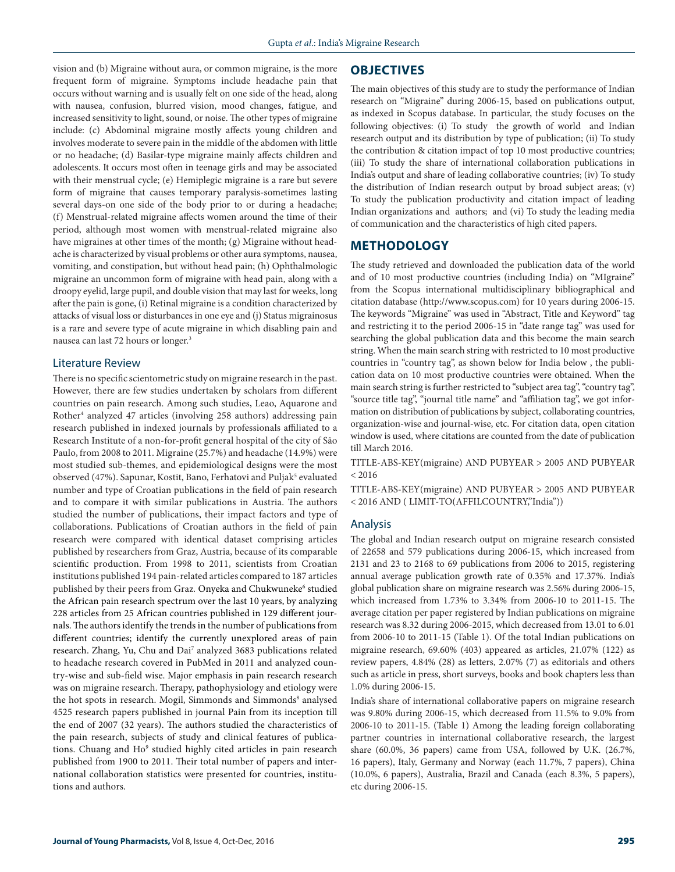vision and (b) Migraine without aura, or common migraine, is the more frequent form of migraine. Symptoms include headache pain that occurs without warning and is usually felt on one side of the head, along with nausea, confusion, blurred vision, mood changes, fatigue, and increased sensitivity to light, sound, or noise. The other types of migraine include: (c) Abdominal migraine mostly affects young children and involves moderate to severe pain in the middle of the abdomen with little or no headache; (d) Basilar-type migraine mainly affects children and adolescents. It occurs most often in teenage girls and may be associated with their menstrual cycle; (e) Hemiplegic migraine is a rare but severe form of migraine that causes temporary paralysis-sometimes lasting several days-on one side of the body prior to or during a headache; (f) Menstrual-related migraine affects women around the time of their period, although most women with menstrual-related migraine also have migraines at other times of the month; (g) Migraine without headache is characterized by visual problems or other aura symptoms, nausea, vomiting, and constipation, but without head pain; (h) Ophthalmologic migraine an uncommon form of migraine with head pain, along with a droopy eyelid, large pupil, and double vision that may last for weeks, long after the pain is gone, (i) Retinal migraine is a condition characterized by attacks of visual loss or disturbances in one eye and (j) Status migrainosus is a rare and severe type of acute migraine in which disabling pain and nausea can last 72 hours or longer. 3

# Literature Review

There is no specific scientometric study on migraine research in the past. However, there are few studies undertaken by scholars from different countries on pain research. Among such studies, Leao, Aquarone and Rother4 analyzed 47 articles (involving 258 authors) addressing pain research published in indexed journals by professionals affiliated to a Research Institute of a non-for-profit general hospital of the city of São Paulo, from 2008 to 2011. Migraine (25.7%) and headache (14.9%) were most studied sub-themes, and epidemiological designs were the most observed (47%). Sapunar, Kostit, Bano, Ferhatovi and Puljak<sup>5</sup> evaluated number and type of Croatian publications in the field of pain research and to compare it with similar publications in Austria. The authors studied the number of publications, their impact factors and type of collaborations. Publications of Croatian authors in the field of pain research were compared with identical dataset comprising articles published by researchers from Graz, Austria, because of its comparable scientific production. From 1998 to 2011, scientists from Croatian institutions published 194 pain-related articles compared to 187 articles published by their peers from Graz. Onyeka and Chukwuneke<sup>6</sup> studied the African pain research spectrum over the last 10 years, by analyzing 228 articles from 25 African countries published in 129 different journals. The authors identify the trends in the number of publications from different countries; identify the currently unexplored areas of pain research. Zhang, Yu, Chu and Dai7 analyzed 3683 publications related to headache research covered in PubMed in 2011 and analyzed country-wise and sub-field wise. Major emphasis in pain research research was on migraine research. Therapy, pathophysiology and etiology were the hot spots in research. Mogil, Simmonds and Simmonds<sup>8</sup> analysed 4525 research papers published in journal Pain from its inception till the end of 2007 (32 years). The authors studied the characteristics of the pain research, subjects of study and clinical features of publications. Chuang and Ho<sup>9</sup> studied highly cited articles in pain research published from 1900 to 2011. Their total number of papers and international collaboration statistics were presented for countries, institutions and authors.

### **OBJECTIVES**

The main objectives of this study are to study the performance of Indian research on "Migraine" during 2006-15, based on publications output, as indexed in Scopus database. In particular, the study focuses on the following objectives: (i) To study the growth of world and Indian research output and its distribution by type of publication; (ii) To study the contribution & citation impact of top 10 most productive countries; (iii) To study the share of international collaboration publications in India's output and share of leading collaborative countries; (iv) To study the distribution of Indian research output by broad subject areas; (v) To study the publication productivity and citation impact of leading Indian organizations and authors; and (vi) To study the leading media of communication and the characteristics of high cited papers.

### **METHODOLOGY**

The study retrieved and downloaded the publication data of the world and of 10 most productive countries (including India) on "MIgraine" from the Scopus international multidisciplinary bibliographical and citation database (http://www.scopus.com) for 10 years during 2006-15. The keywords "Migraine" was used in "Abstract, Title and Keyword" tag and restricting it to the period 2006-15 in "date range tag" was used for searching the global publication data and this become the main search string. When the main search string with restricted to 10 most productive countries in "country tag", as shown below for India below , the publication data on 10 most productive countries were obtained. When the main search string is further restricted to "subject area tag", "country tag", "source title tag", "journal title name" and "affiliation tag", we got information on distribution of publications by subject, collaborating countries, organization-wise and journal-wise, etc. For citation data, open citation window is used, where citations are counted from the date of publication till March 2016.

TITLE-ABS-KEY(migraine) AND PUBYEAR > 2005 AND PUBYEAR  $< 2016$ 

TITLE-ABS-KEY(migraine) AND PUBYEAR > 2005 AND PUBYEAR < 2016 AND ( LIMIT-TO(AFFILCOUNTRY,"India"))

### Analysis

The global and Indian research output on migraine research consisted of 22658 and 579 publications during 2006-15, which increased from 2131 and 23 to 2168 to 69 publications from 2006 to 2015, registering annual average publication growth rate of 0.35% and 17.37%. India's global publication share on migraine research was 2.56% during 2006-15, which increased from 1.73% to 3.34% from 2006-10 to 2011-15. The average citation per paper registered by Indian publications on migraine research was 8.32 during 2006-2015, which decreased from 13.01 to 6.01 from 2006-10 to 2011-15 (Table 1). Of the total Indian publications on migraine research, 69.60% (403) appeared as articles, 21.07% (122) as review papers, 4.84% (28) as letters, 2.07% (7) as editorials and others such as article in press, short surveys, books and book chapters less than 1.0% during 2006-15.

India's share of international collaborative papers on migraine research was 9.80% during 2006-15, which decreased from 11.5% to 9.0% from 2006-10 to 2011-15. (Table 1) Among the leading foreign collaborating partner countries in international collaborative research, the largest share (60.0%, 36 papers) came from USA, followed by U.K. (26.7%, 16 papers), Italy, Germany and Norway (each 11.7%, 7 papers), China (10.0%, 6 papers), Australia, Brazil and Canada (each 8.3%, 5 papers), etc during 2006-15.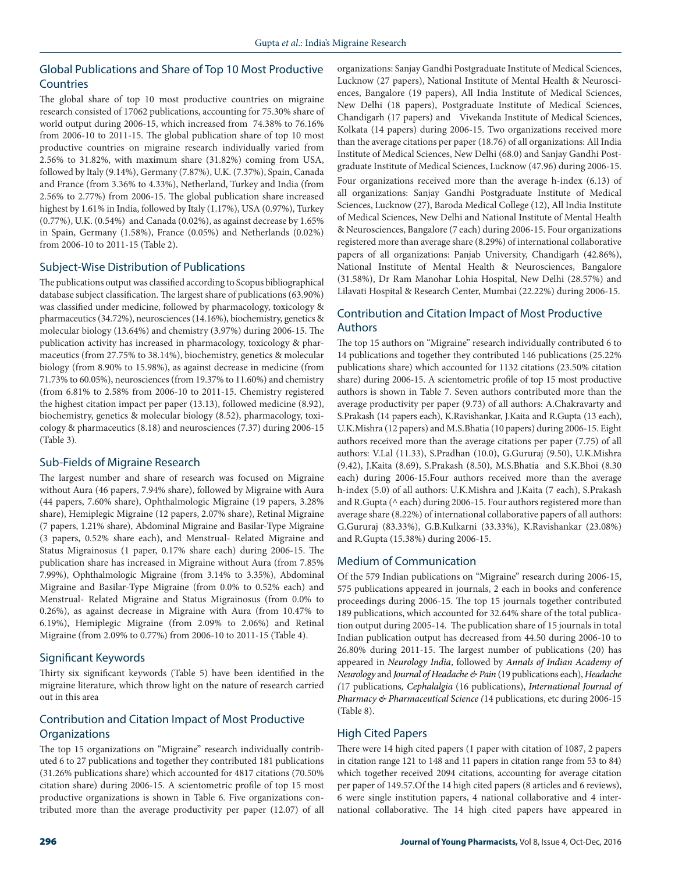# Global Publications and Share of Top 10 Most Productive **Countries**

The global share of top 10 most productive countries on migraine research consisted of 17062 publications, accounting for 75.30% share of world output during 2006-15, which increased from 74.38% to 76.16% from 2006-10 to 2011-15. The global publication share of top 10 most productive countries on migraine research individually varied from 2.56% to 31.82%, with maximum share (31.82%) coming from USA, followed by Italy (9.14%), Germany (7.87%), U.K. (7.37%), Spain, Canada and France (from 3.36% to 4.33%), Netherland, Turkey and India (from 2.56% to 2.77%) from 2006-15. The global publication share increased highest by 1.61% in India, followed by Italy (1.17%), USA (0.97%), Turkey (0.77%), U.K. (0.54%) and Canada (0.02%), as against decrease by 1.65% in Spain, Germany (1.58%), France (0.05%) and Netherlands (0.02%) from 2006-10 to 2011-15 (Table 2).

## Subject-Wise Distribution of Publications

The publications output was classified according to Scopus bibliographical database subject classification. The largest share of publications (63.90%) was classified under medicine, followed by pharmacology, toxicology & pharmaceutics (34.72%), neurosciences (14.16%), biochemistry, genetics & molecular biology (13.64%) and chemistry (3.97%) during 2006-15. The publication activity has increased in pharmacology, toxicology & pharmaceutics (from 27.75% to 38.14%), biochemistry, genetics & molecular biology (from 8.90% to 15.98%), as against decrease in medicine (from 71.73% to 60.05%), neurosciences (from 19.37% to 11.60%) and chemistry (from 6.81% to 2.58% from 2006-10 to 2011-15. Chemistry registered the highest citation impact per paper (13.13), followed medicine (8.92), biochemistry, genetics & molecular biology (8.52), pharmacology, toxicology & pharmaceutics (8.18) and neurosciences (7.37) during 2006-15 (Table 3).

## Sub-Fields of Migraine Research

The largest number and share of research was focused on Migraine without Aura (46 papers, 7.94% share), followed by Migraine with Aura (44 papers, 7.60% share), Ophthalmologic Migraine (19 papers, 3.28% share), Hemiplegic Migraine (12 papers, 2.07% share), Retinal Migraine (7 papers, 1.21% share), Abdominal Migraine and Basilar-Type Migraine (3 papers, 0.52% share each), and Menstrual- Related Migraine and Status Migrainosus (1 paper, 0.17% share each) during 2006-15. The publication share has increased in Migraine without Aura (from 7.85% 7.99%), Ophthalmologic Migraine (from 3.14% to 3.35%), Abdominal Migraine and Basilar-Type Migraine (from 0.0% to 0.52% each) and Menstrual- Related Migraine and Status Migrainosus (from 0.0% to 0.26%), as against decrease in Migraine with Aura (from 10.47% to 6.19%), Hemiplegic Migraine (from 2.09% to 2.06%) and Retinal Migraine (from 2.09% to 0.77%) from 2006-10 to 2011-15 (Table 4).

# Significant Keywords

Thirty six significant keywords (Table 5) have been identified in the migraine literature, which throw light on the nature of research carried out in this area

# Contribution and Citation Impact of Most Productive **Organizations**

The top 15 organizations on "Migraine" research individually contributed 6 to 27 publications and together they contributed 181 publications (31.26% publications share) which accounted for 4817 citations (70.50% citation share) during 2006-15. A scientometric profile of top 15 most productive organizations is shown in Table 6. Five organizations contributed more than the average productivity per paper (12.07) of all organizations: Sanjay Gandhi Postgraduate Institute of Medical Sciences, Lucknow (27 papers), National Institute of Mental Health & Neurosciences, Bangalore (19 papers), All India Institute of Medical Sciences, New Delhi (18 papers), Postgraduate Institute of Medical Sciences, Chandigarh (17 papers) and Vivekanda Institute of Medical Sciences, Kolkata (14 papers) during 2006-15. Two organizations received more than the average citations per paper (18.76) of all organizations: All India Institute of Medical Sciences, New Delhi (68.0) and Sanjay Gandhi Postgraduate Institute of Medical Sciences, Lucknow (47.96) during 2006-15. Four organizations received more than the average h-index (6.13) of all organizations: Sanjay Gandhi Postgraduate Institute of Medical Sciences, Lucknow (27), Baroda Medical College (12), All India Institute of Medical Sciences, New Delhi and National Institute of Mental Health & Neurosciences, Bangalore (7 each) during 2006-15. Four organizations registered more than average share (8.29%) of international collaborative papers of all organizations: Panjab University, Chandigarh (42.86%), National Institute of Mental Health & Neurosciences, Bangalore (31.58%), Dr Ram Manohar Lohia Hospital, New Delhi (28.57%) and Lilavati Hospital & Research Center, Mumbai (22.22%) during 2006-15.

# Contribution and Citation Impact of Most Productive Authors

The top 15 authors on "Migraine" research individually contributed 6 to 14 publications and together they contributed 146 publications (25.22% publications share) which accounted for 1132 citations (23.50% citation share) during 2006-15. A scientometric profile of top 15 most productive authors is shown in Table 7. Seven authors contributed more than the average productivity per paper (9.73) of all authors: A.Chakravarty and S.Prakash (14 papers each), K.Ravishankar, J.Kaita and R.Gupta (13 each), U.K.Mishra (12 papers) and M.S.Bhatia (10 papers) during 2006-15. Eight authors received more than the average citations per paper (7.75) of all authors: V.Lal (11.33), S.Pradhan (10.0), G.Gururaj (9.50), U.K.Mishra (9.42), J.Kaita (8.69), S.Prakash (8.50), M.S.Bhatia and S.K.Bhoi (8.30 each) during 2006-15.Four authors received more than the average h-index (5.0) of all authors: U.K.Mishra and J.Kaita (7 each), S.Prakash and R.Gupta ( $\land$  each) during 2006-15. Four authors registered more than average share (8.22%) of international collaborative papers of all authors: G.Gururaj (83.33%), G.B.Kulkarni (33.33%), K.Ravishankar (23.08%) and R.Gupta (15.38%) during 2006-15.

# Medium of Communication

Of the 579 Indian publications on "Migraine" research during 2006-15, 575 publications appeared in journals, 2 each in books and conference proceedings during 2006-15. The top 15 journals together contributed 189 publications, which accounted for 32.64% share of the total publication output during 2005-14. The publication share of 15 journals in total Indian publication output has decreased from 44.50 during 2006-10 to 26.80% during 2011-15. The largest number of publications (20) has appeared in *Neurology India*, followed by *Annals of Indian Academy of Neurology* and *Journal of Headache & Pain* (19 publications each), *Headache (*17 publications*, Cephalalgia* (16 publications), *International Journal of Pharmacy & Pharmaceutical Science (*14 publications, etc during 2006-15 (Table 8).

# High Cited Papers

There were 14 high cited papers (1 paper with citation of 1087, 2 papers in citation range 121 to 148 and 11 papers in citation range from 53 to 84) which together received 2094 citations, accounting for average citation per paper of 149.57.Of the 14 high cited papers (8 articles and 6 reviews), 6 were single institution papers, 4 national collaborative and 4 international collaborative. The 14 high cited papers have appeared in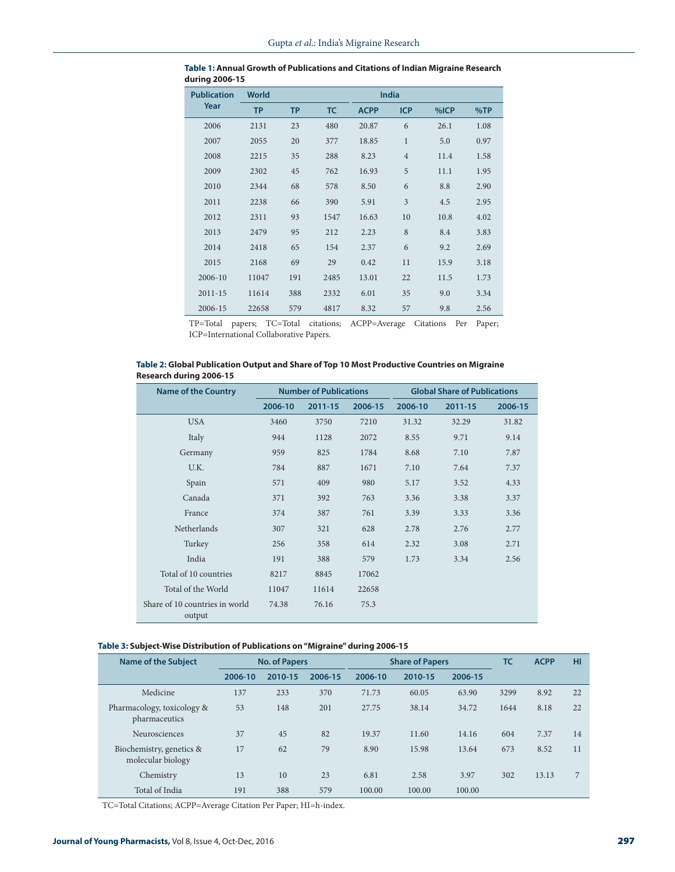| <b>Publication</b> | <b>World</b> |           |           |             | <b>India</b>   |      |      |
|--------------------|--------------|-----------|-----------|-------------|----------------|------|------|
| Year               | <b>TP</b>    | <b>TP</b> | <b>TC</b> | <b>ACPP</b> | <b>ICP</b>     | %ICP | %TP  |
| 2006               | 2131         | 23        | 480       | 20.87       | 6              | 26.1 | 1.08 |
| 2007               | 2055         | 20        | 377       | 18.85       | $\mathbf{1}$   | 5.0  | 0.97 |
| 2008               | 2215         | 35        | 288       | 8.23        | $\overline{4}$ | 11.4 | 1.58 |
| 2009               | 2302         | 45        | 762       | 16.93       | 5              | 11.1 | 1.95 |
| 2010               | 2344         | 68        | 578       | 8.50        | 6              | 8.8  | 2.90 |
| 2011               | 2238         | 66        | 390       | 5.91        | 3              | 4.5  | 2.95 |
| 2012               | 2311         | 93        | 1547      | 16.63       | 10             | 10.8 | 4.02 |
| 2013               | 2479         | 95        | 212       | 2.23        | 8              | 8.4  | 3.83 |
| 2014               | 2418         | 65        | 154       | 2.37        | 6              | 9.2  | 2.69 |
| 2015               | 2168         | 69        | 29        | 0.42        | 11             | 15.9 | 3.18 |
| 2006-10            | 11047        | 191       | 2485      | 13.01       | 22             | 11.5 | 1.73 |
| $2011 - 15$        | 11614        | 388       | 2332      | 6.01        | 35             | 9.0  | 3.34 |
| 2006-15            | 22658        | 579       | 4817      | 8.32        | 57             | 9.8  | 2.56 |

| Table 1: Annual Growth of Publications and Citations of Indian Migraine Research |  |
|----------------------------------------------------------------------------------|--|
| during 2006-15                                                                   |  |

TP=Total papers; TC=Total citations; ACPP=Average Citations Per Paper; ICP=International Collaborative Papers.

| Table 2: Global Publication Output and Share of Top 10 Most Productive Countries on Migraine |  |
|----------------------------------------------------------------------------------------------|--|
| <b>Research during 2006-15</b>                                                               |  |

| <b>Name of the Country</b>               | <b>Number of Publications</b> |         |         | <b>Global Share of Publications</b> |         |         |  |  |
|------------------------------------------|-------------------------------|---------|---------|-------------------------------------|---------|---------|--|--|
|                                          | 2006-10                       | 2011-15 | 2006-15 | 2006-10                             | 2011-15 | 2006-15 |  |  |
| <b>USA</b>                               | 3460                          | 3750    | 7210    | 31.32                               | 32.29   | 31.82   |  |  |
| Italy                                    | 944                           | 1128    | 2072    | 8.55                                | 9.71    | 9.14    |  |  |
| Germany                                  | 959                           | 825     | 1784    | 8.68                                | 7.10    | 7.87    |  |  |
| U.K.                                     | 784                           | 887     | 1671    | 7.10                                | 7.64    | 7.37    |  |  |
| Spain                                    | 571                           | 409     | 980     | 5.17                                | 3.52    | 4.33    |  |  |
| Canada                                   | 371                           | 392     | 763     | 3.36                                | 3.38    | 3.37    |  |  |
| France                                   | 374                           | 387     | 761     | 3.39                                | 3.33    | 3.36    |  |  |
| <b>Netherlands</b>                       | 307                           | 321     | 628     | 2.78                                | 2.76    | 2.77    |  |  |
| Turkey                                   | 256                           | 358     | 614     | 2.32                                | 3.08    | 2.71    |  |  |
| India                                    | 191                           | 388     | 579     | 1.73                                | 3.34    | 2.56    |  |  |
| Total of 10 countries                    | 8217                          | 8845    | 17062   |                                     |         |         |  |  |
| Total of the World                       | 11047                         | 11614   | 22658   |                                     |         |         |  |  |
| Share of 10 countries in world<br>output | 74.38                         | 76.16   | 75.3    |                                     |         |         |  |  |

### **Table 3: Subject-Wise Distribution of Publications on "Migraine" during 2006-15**

| <b>Name of the Subject</b>                    | <b>No. of Papers</b> |         |         | <b>Share of Papers</b> | TC      | <b>ACPP</b> | HI   |       |    |
|-----------------------------------------------|----------------------|---------|---------|------------------------|---------|-------------|------|-------|----|
|                                               | 2006-10              | 2010-15 | 2006-15 | 2006-10                | 2010-15 | 2006-15     |      |       |    |
| Medicine                                      | 137                  | 233     | 370     | 71.73                  | 60.05   | 63.90       | 3299 | 8.92  | 22 |
| Pharmacology, toxicology &<br>pharmaceutics   | 53                   | 148     | 201     | 27.75                  | 38.14   | 34.72       | 1644 | 8.18  | 22 |
| Neurosciences                                 | 37                   | 45      | 82      | 19.37                  | 11.60   | 14.16       | 604  | 7.37  | 14 |
| Biochemistry, genetics &<br>molecular biology | 17                   | 62      | 79      | 8.90                   | 15.98   | 13.64       | 673  | 8.52  | 11 |
| Chemistry                                     | 13                   | 10      | 23      | 6.81                   | 2.58    | 3.97        | 302  | 13.13 | 7  |
| Total of India                                | 191                  | 388     | 579     | 100.00                 | 100.00  | 100.00      |      |       |    |

TC=Total Citations; ACPP=Average Citation Per Paper; HI=h-index.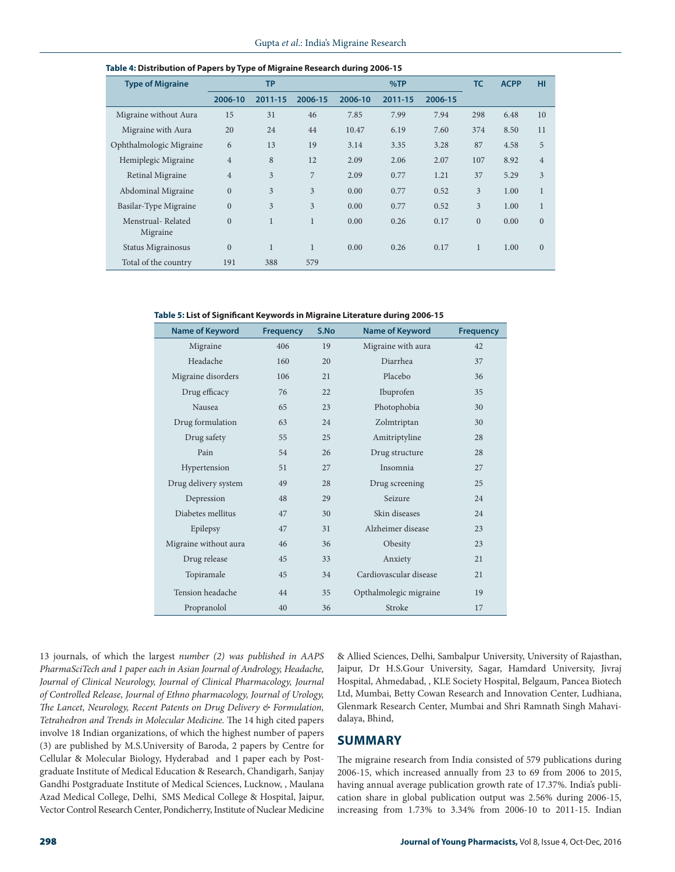| <b>Type of Migraine</b>       |                | <b>TP</b>      |                |         | %TP     |         | <b>TC</b>      | <b>ACPP</b> | HI             |
|-------------------------------|----------------|----------------|----------------|---------|---------|---------|----------------|-------------|----------------|
|                               | 2006-10        | 2011-15        | 2006-15        | 2006-10 | 2011-15 | 2006-15 |                |             |                |
| Migraine without Aura         | 15             | 31             | 46             | 7.85    | 7.99    | 7.94    | 298            | 6.48        | 10             |
| Migraine with Aura            | 20             | 24             | 44             | 10.47   | 6.19    | 7.60    | 374            | 8.50        | 11             |
| Ophthalmologic Migraine       | 6              | 13             | 19             | 3.14    | 3.35    | 3.28    | 87             | 4.58        | 5              |
| Hemiplegic Migraine           | $\overline{4}$ | 8              | 12             | 2.09    | 2.06    | 2.07    | 107            | 8.92        | $\overline{4}$ |
| Retinal Migraine              | $\overline{4}$ | $\overline{3}$ | $\overline{7}$ | 2.09    | 0.77    | 1.21    | 37             | 5.29        | 3              |
| Abdominal Migraine            | $\overline{0}$ | 3              | 3              | 0.00    | 0.77    | 0.52    | 3              | 1.00        | $\mathbf{1}$   |
| Basilar-Type Migraine         | $\overline{0}$ | 3              | 3              | 0.00    | 0.77    | 0.52    | 3              | 1.00        | 1              |
| Menstrual-Related<br>Migraine | $\overline{0}$ | $\mathbf{1}$   | $\mathbf{1}$   | 0.00    | 0.26    | 0.17    | $\overline{0}$ | 0.00        | $\mathbf{0}$   |
| Status Migrainosus            | $\overline{0}$ | 1              | 1              | 0.00    | 0.26    | 0.17    | 1              | 1.00        | $\mathbf{0}$   |
| Total of the country          | 191            | 388            | 579            |         |         |         |                |             |                |

#### **Table 4: Distribution of Papers by Type of Migraine Research during 2006-15**

**Table 5: List of Significant Keywords in Migraine Literature during 2006-15**

| <b>Name of Keyword</b> | <b>Frequency</b> | S.No | <b>Name of Keyword</b> | <b>Frequency</b> |
|------------------------|------------------|------|------------------------|------------------|
| Migraine               | 406              | 19   | Migraine with aura     | 42               |
| Headache               | 160              | 20   | Diarrhea               | 37               |
| Migraine disorders     | 106              | 21   | Placebo                | 36               |
| Drug efficacy          | 76               | 22   | Ibuprofen              | 35               |
| Nausea                 | 65               | 23   | Photophobia            | 30               |
| Drug formulation       | 63               | 24   | Zolmtriptan            | 30               |
| Drug safety            | 55               | 25   | Amitriptyline          | 28               |
| Pain                   | 54               | 26   | Drug structure         | 28               |
| Hypertension           | 51               | 27   | Insomnia               | 27               |
| Drug delivery system   | 49               | 28   | Drug screening         | 25               |
| Depression             | 48               | 29   | Seizure                | 24               |
| Diabetes mellitus      | 47               | 30   | Skin diseases          | 24               |
| Epilepsy               | 47               | 31   | Alzheimer disease      | 23               |
| Migraine without aura  | 46               | 36   | Obesity                | 23               |
| Drug release           | 45               | 33   | Anxiety                | 21               |
| Topiramale             | 45               | 34   | Cardiovascular disease | 21               |
| Tension headache       | 44               | 35   | Opthalmolegic migraine | 19               |
| Propranolol            | 40               | 36   | Stroke                 | 17               |

13 journals, of which the largest *number (2) was published in AAPS PharmaSciTech and 1 paper each in Asian Journal of Andrology, Headache,*  Journal of Clinical Neurology, Journal of Clinical Pharmacology, Journal *of Controlled Release, Journal of Ethno pharmacology, Journal of Urology, The Lancet, Neurology, Recent Patents on Drug Delivery & Formulation, Tetrahedron and Trends in Molecular Medicine.* The 14 high cited papers involve 18 Indian organizations, of which the highest number of papers (3) are published by M.S.University of Baroda, 2 papers by Centre for Cellular & Molecular Biology, Hyderabad and 1 paper each by Postgraduate Institute of Medical Education & Research, Chandigarh, Sanjay Gandhi Postgraduate Institute of Medical Sciences, Lucknow, , Maulana Azad Medical College, Delhi, SMS Medical College & Hospital, Jaipur, Vector Control Research Center, Pondicherry, Institute of Nuclear Medicine

& Allied Sciences, Delhi, Sambalpur University, University of Rajasthan, Jaipur, Dr H.S.Gour University, Sagar, Hamdard University, Jivraj Hospital, Ahmedabad, , KLE Society Hospital, Belgaum, Pancea Biotech Ltd, Mumbai, Betty Cowan Research and Innovation Center, Ludhiana, Glenmark Research Center, Mumbai and Shri Ramnath Singh Mahavidalaya, Bhind,

# **SUMMARY**

The migraine research from India consisted of 579 publications during 2006-15, which increased annually from 23 to 69 from 2006 to 2015, having annual average publication growth rate of 17.37%. India's publication share in global publication output was 2.56% during 2006-15, increasing from 1.73% to 3.34% from 2006-10 to 2011-15. Indian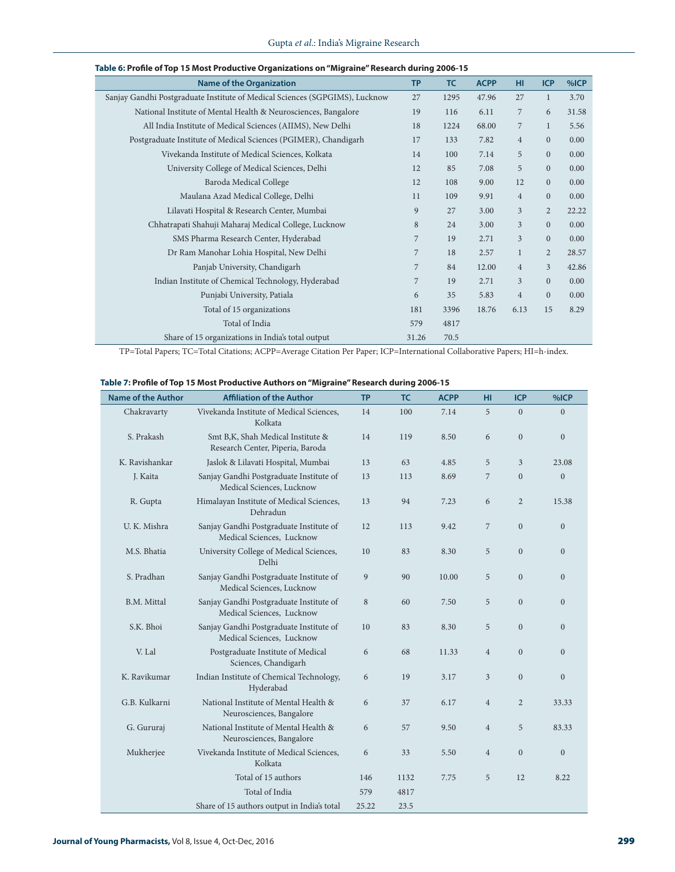| <b>Name of the Organization</b>                                             | <b>TP</b>      | <b>TC</b> | <b>ACPP</b> | HI             | <b>ICP</b>     | %ICP  |
|-----------------------------------------------------------------------------|----------------|-----------|-------------|----------------|----------------|-------|
| Sanjay Gandhi Postgraduate Institute of Medical Sciences (SGPGIMS), Lucknow | 27             | 1295      | 47.96       | 27             | $\mathbf{1}$   | 3.70  |
| National Institute of Mental Health & Neurosciences, Bangalore              | 19             | 116       | 6.11        | $\overline{7}$ | 6              | 31.58 |
| All India Institute of Medical Sciences (AIIMS), New Delhi                  | 18             | 1224      | 68.00       | $\overline{7}$ | $\mathbf{1}$   | 5.56  |
| Postgraduate Institute of Medical Sciences (PGIMER), Chandigarh             | 17             | 133       | 7.82        | $\overline{4}$ | $\overline{0}$ | 0.00  |
| Vivekanda Institute of Medical Sciences, Kolkata                            | 14             | 100       | 7.14        | 5              | $\overline{0}$ | 0.00  |
| University College of Medical Sciences, Delhi                               | 12             | 85        | 7.08        | 5              | $\mathbf{0}$   | 0.00  |
| Baroda Medical College                                                      | 12             | 108       | 9.00        | 12             | $\mathbf{0}$   | 0.00  |
| Maulana Azad Medical College, Delhi                                         | 11             | 109       | 9.91        | $\overline{4}$ | $\mathbf{0}$   | 0.00  |
| Lilavati Hospital & Research Center, Mumbai                                 | 9              | 27        | 3.00        | 3              | $\overline{2}$ | 22.22 |
| Chhatrapati Shahuji Maharaj Medical College, Lucknow                        | $\,$ 8 $\,$    | 24        | 3.00        | 3              | $\mathbf{0}$   | 0.00  |
| SMS Pharma Research Center, Hyderabad                                       | $\overline{7}$ | 19        | 2.71        | $\overline{3}$ | $\mathbf{0}$   | 0.00  |
| Dr Ram Manohar Lohia Hospital, New Delhi                                    | 7              | 18        | 2.57        | $\mathbf{1}$   | $\overline{2}$ | 28.57 |
| Panjab University, Chandigarh                                               | 7              | 84        | 12.00       | $\overline{4}$ | $\overline{3}$ | 42.86 |
| Indian Institute of Chemical Technology, Hyderabad                          | 7              | 19        | 2.71        | $\overline{3}$ | $\overline{0}$ | 0.00  |
| Punjabi University, Patiala                                                 | 6              | 35        | 5.83        | $\overline{4}$ | $\overline{0}$ | 0.00  |
| Total of 15 organizations                                                   | 181            | 3396      | 18.76       | 6.13           | 15             | 8.29  |
| Total of India                                                              | 579            | 4817      |             |                |                |       |
| Share of 15 organizations in India's total output                           | 31.26          | 70.5      |             |                |                |       |

#### **Table 6: Profile of Top 15 Most Productive Organizations on "Migraine" Research during 2006-15**

TP=Total Papers; TC=Total Citations; ACPP=Average Citation Per Paper; ICP=International Collaborative Papers; HI=h-index.

|  |  |  |  | Table 7: Profile of Top 15 Most Productive Authors on "Migraine" Research during 2006-15 |
|--|--|--|--|------------------------------------------------------------------------------------------|
|--|--|--|--|------------------------------------------------------------------------------------------|

| <b>Name of the Author</b> | <b>Affiliation of the Author</b>                                      | <b>TP</b> | <b>TC</b> | <b>ACPP</b> | HI             | <b>ICP</b>     | %ICP           |
|---------------------------|-----------------------------------------------------------------------|-----------|-----------|-------------|----------------|----------------|----------------|
| Chakravarty               | Vivekanda Institute of Medical Sciences,<br>Kolkata                   | 14        | 100       | 7.14        | 5              | $\mathbf{0}$   | $\overline{0}$ |
| S. Prakash                | Smt B,K, Shah Medical Institute &<br>Research Center, Piperia, Baroda | 14        | 119       | 8.50        | 6              | $\mathbf{0}$   | $\mathbf{0}$   |
| K. Ravishankar            | Jaslok & Lilavati Hospital, Mumbai                                    | 13        | 63        | 4.85        | 5              | 3              | 23.08          |
| J. Kaita                  | Sanjay Gandhi Postgraduate Institute of<br>Medical Sciences, Lucknow  | 13        | 113       | 8.69        | 7              | $\overline{0}$ | $\overline{0}$ |
| R. Gupta                  | Himalayan Institute of Medical Sciences,<br>Dehradun                  | 13        | 94        | 7.23        | 6              | $\overline{2}$ | 15.38          |
| U. K. Mishra              | Sanjay Gandhi Postgraduate Institute of<br>Medical Sciences, Lucknow  | 12        | 113       | 9.42        | 7              | $\mathbf{0}$   | $\mathbf{0}$   |
| M.S. Bhatia               | University College of Medical Sciences,<br>Delhi                      | 10        | 83        | 8.30        | 5              | $\mathbf{0}$   | $\mathbf{0}$   |
| S. Pradhan                | Sanjay Gandhi Postgraduate Institute of<br>Medical Sciences, Lucknow  | 9         | 90        | 10.00       | 5              | $\Omega$       | $\mathbf{0}$   |
| B.M. Mittal               | Sanjay Gandhi Postgraduate Institute of<br>Medical Sciences, Lucknow  | 8         | 60        | 7.50        | 5              | $\overline{0}$ | $\overline{0}$ |
| S.K. Bhoi                 | Sanjay Gandhi Postgraduate Institute of<br>Medical Sciences, Lucknow  | 10        | 83        | 8.30        | 5              | $\overline{0}$ | $\overline{0}$ |
| V. Lal                    | Postgraduate Institute of Medical<br>Sciences, Chandigarh             | 6         | 68        | 11.33       | $\overline{4}$ | $\overline{0}$ | $\overline{0}$ |
| K. Ravikumar              | Indian Institute of Chemical Technology,<br>Hyderabad                 | 6         | 19        | 3.17        | 3              | $\overline{0}$ | $\overline{0}$ |
| G.B. Kulkarni             | National Institute of Mental Health &<br>Neurosciences, Bangalore     | 6         | 37        | 6.17        | $\overline{4}$ | $\overline{c}$ | 33.33          |
| G. Gururaj                | National Institute of Mental Health &<br>Neurosciences, Bangalore     | 6         | 57        | 9.50        | $\overline{4}$ | 5              | 83.33          |
| Mukherjee                 | Vivekanda Institute of Medical Sciences,<br>Kolkata                   | 6         | 33        | 5.50        | $\overline{4}$ | $\mathbf{0}$   | $\mathbf{0}$   |
|                           | Total of 15 authors                                                   | 146       | 1132      | 7.75        | 5              | 12             | 8.22           |
|                           | Total of India                                                        | 579       | 4817      |             |                |                |                |
|                           | Share of 15 authors output in India's total                           | 25.22     | 23.5      |             |                |                |                |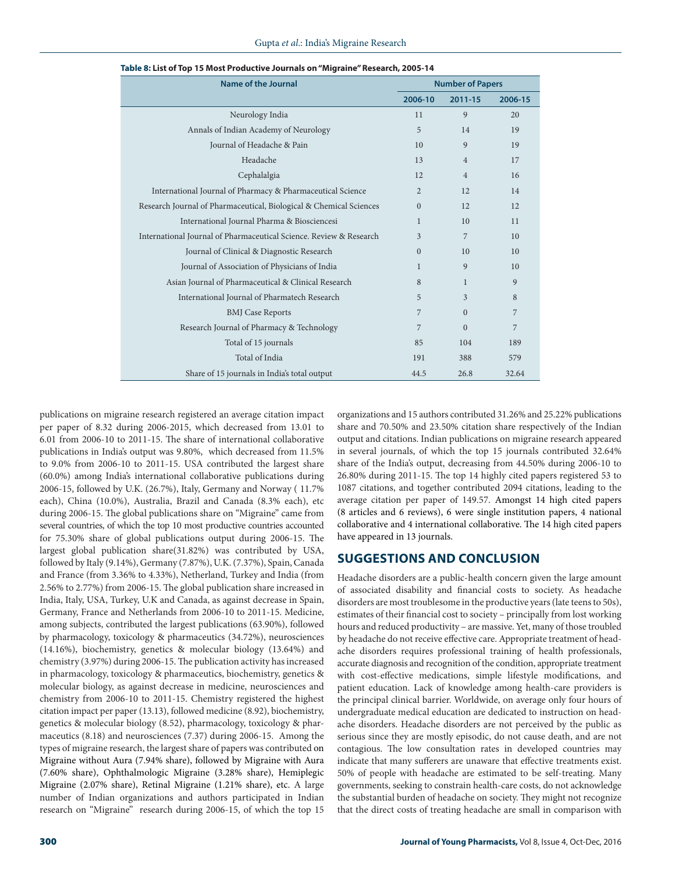| Name of the Journal                                                |              | <b>Number of Papers</b> |         |  |  |
|--------------------------------------------------------------------|--------------|-------------------------|---------|--|--|
|                                                                    | 2006-10      | 2011-15                 | 2006-15 |  |  |
| Neurology India                                                    | 11           | 9                       | 20      |  |  |
| Annals of Indian Academy of Neurology                              | 5            | 14                      | 19      |  |  |
| Journal of Headache & Pain                                         | 10           | 9                       | 19      |  |  |
| Headache                                                           | 13           | $\overline{4}$          | 17      |  |  |
| Cephalalgia                                                        | 12           | $\overline{4}$          | 16      |  |  |
| International Journal of Pharmacy & Pharmaceutical Science         | 2            | 12                      | 14      |  |  |
| Research Journal of Pharmaceutical, Biological & Chemical Sciences | $\Omega$     | 12                      | 12      |  |  |
| International Journal Pharma & Biosciencesi                        | $\mathbf{1}$ | 10                      | 11      |  |  |
| International Journal of Pharmaceutical Science. Review & Research | 3            | 7                       | 10      |  |  |
| Journal of Clinical & Diagnostic Research                          | $\Omega$     | 10                      | 10      |  |  |
| Journal of Association of Physicians of India                      | $\mathbf{1}$ | 9                       | 10      |  |  |
| Asian Journal of Pharmaceutical & Clinical Research                | 8            | $\mathbf{1}$            | 9       |  |  |
| International Journal of Pharmatech Research                       | 5            | 3                       | 8       |  |  |
| <b>BMJ</b> Case Reports                                            | 7            | $\Omega$                | 7       |  |  |
| Research Journal of Pharmacy & Technology                          | 7            | $\Omega$                | 7       |  |  |
| Total of 15 journals                                               | 85           | 104                     | 189     |  |  |
| Total of India                                                     | 191          | 388                     | 579     |  |  |
| Share of 15 journals in India's total output                       | 44.5         | 26.8                    | 32.64   |  |  |

**Table 8: List of Top 15 Most Productive Journals on "Migraine" Research, 2005-14**

publications on migraine research registered an average citation impact per paper of 8.32 during 2006-2015, which decreased from 13.01 to 6.01 from 2006-10 to 2011-15. The share of international collaborative publications in India's output was 9.80%, which decreased from 11.5% to 9.0% from 2006-10 to 2011-15. USA contributed the largest share (60.0%) among India's international collaborative publications during 2006-15, followed by U.K. (26.7%), Italy, Germany and Norway ( 11.7% each), China (10.0%), Australia, Brazil and Canada (8.3% each), etc during 2006-15. The global publications share on "Migraine" came from several countries, of which the top 10 most productive countries accounted for 75.30% share of global publications output during 2006-15. The largest global publication share(31.82%) was contributed by USA, followed by Italy (9.14%), Germany (7.87%), U.K. (7.37%), Spain, Canada and France (from 3.36% to 4.33%), Netherland, Turkey and India (from 2.56% to 2.77%) from 2006-15. The global publication share increased in India, Italy, USA, Turkey, U.K and Canada, as against decrease in Spain, Germany, France and Netherlands from 2006-10 to 2011-15. Medicine, among subjects, contributed the largest publications (63.90%), followed by pharmacology, toxicology & pharmaceutics (34.72%), neurosciences (14.16%), biochemistry, genetics & molecular biology (13.64%) and chemistry (3.97%) during 2006-15. The publication activity has increased in pharmacology, toxicology & pharmaceutics, biochemistry, genetics & molecular biology, as against decrease in medicine, neurosciences and chemistry from 2006-10 to 2011-15. Chemistry registered the highest citation impact per paper (13.13), followed medicine (8.92), biochemistry, genetics & molecular biology (8.52), pharmacology, toxicology & pharmaceutics (8.18) and neurosciences (7.37) during 2006-15. Among the types of migraine research, the largest share of papers was contributed on Migraine without Aura (7.94% share), followed by Migraine with Aura (7.60% share), Ophthalmologic Migraine (3.28% share), Hemiplegic Migraine (2.07% share), Retinal Migraine (1.21% share), etc. A large number of Indian organizations and authors participated in Indian research on "Migraine" research during 2006-15, of which the top 15 organizations and 15 authors contributed 31.26% and 25.22% publications share and 70.50% and 23.50% citation share respectively of the Indian output and citations. Indian publications on migraine research appeared in several journals, of which the top 15 journals contributed 32.64% share of the India's output, decreasing from 44.50% during 2006-10 to 26.80% during 2011-15. The top 14 highly cited papers registered 53 to 1087 citations, and together contributed 2094 citations, leading to the average citation per paper of 149.57. Amongst 14 high cited papers (8 articles and 6 reviews), 6 were single institution papers, 4 national collaborative and 4 international collaborative. The 14 high cited papers have appeared in 13 journals.

### **SUGGESTIONS AND CONCLUSION**

Headache disorders are a public-health concern given the large amount of associated disability and financial costs to society. As headache disorders are most troublesome in the productive years (late teens to 50s), estimates of their financial cost to society – principally from lost working hours and reduced productivity – are massive. Yet, many of those troubled by headache do not receive effective care. Appropriate treatment of headache disorders requires professional training of health professionals, accurate diagnosis and recognition of the condition, appropriate treatment with cost-effective medications, simple lifestyle modifications, and patient education. Lack of knowledge among health-care providers is the principal clinical barrier. Worldwide, on average only four hours of undergraduate medical education are dedicated to instruction on headache disorders. Headache disorders are not perceived by the public as serious since they are mostly episodic, do not cause death, and are not contagious. The low consultation rates in developed countries may indicate that many sufferers are unaware that effective treatments exist. 50% of people with headache are estimated to be self-treating. Many governments, seeking to constrain health-care costs, do not acknowledge the substantial burden of headache on society. They might not recognize that the direct costs of treating headache are small in comparison with